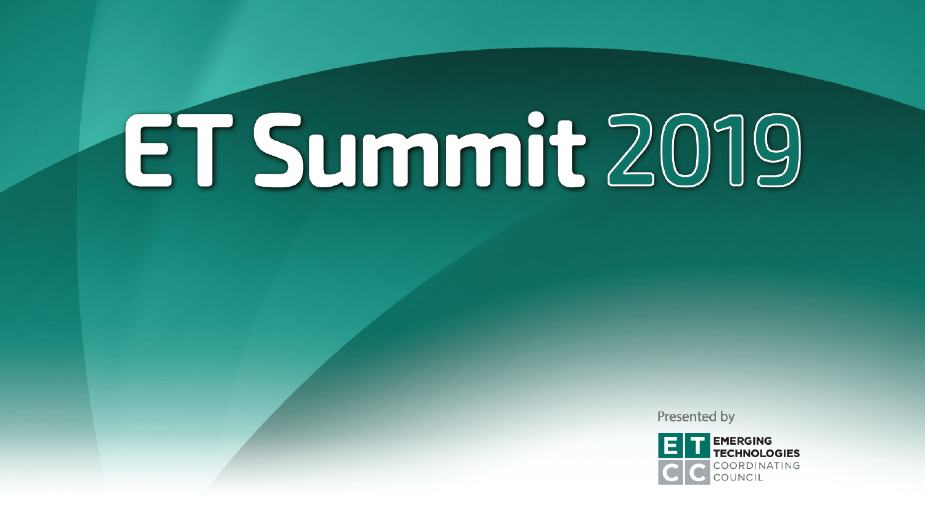Presented by

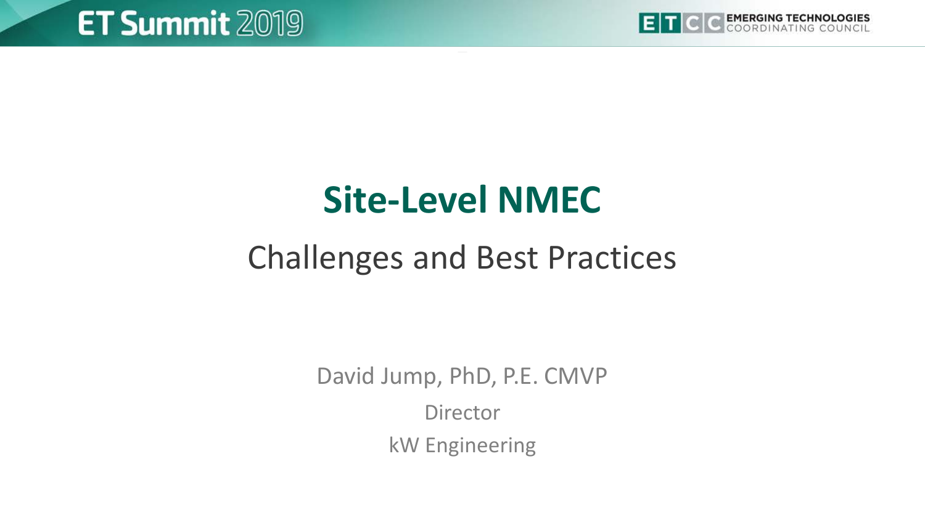

# **Site-Level NMEC**

### Challenges and Best Practices

David Jump, PhD, P.E. CMVP **Director** kW Engineering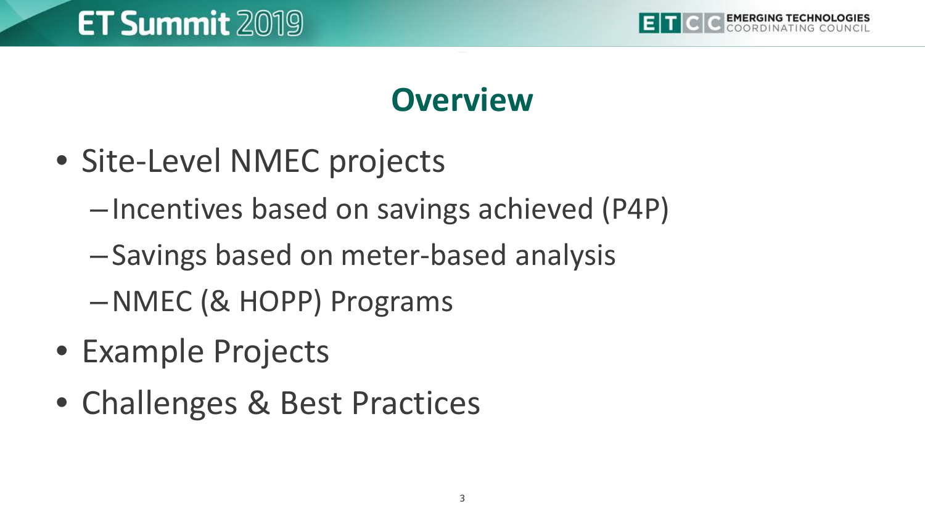

#### **Overview**

- Site-Level NMEC projects
	- –Incentives based on savings achieved (P4P)
	- –Savings based on meter-based analysis
	- –NMEC (& HOPP) Programs
- Example Projects
- Challenges & Best Practices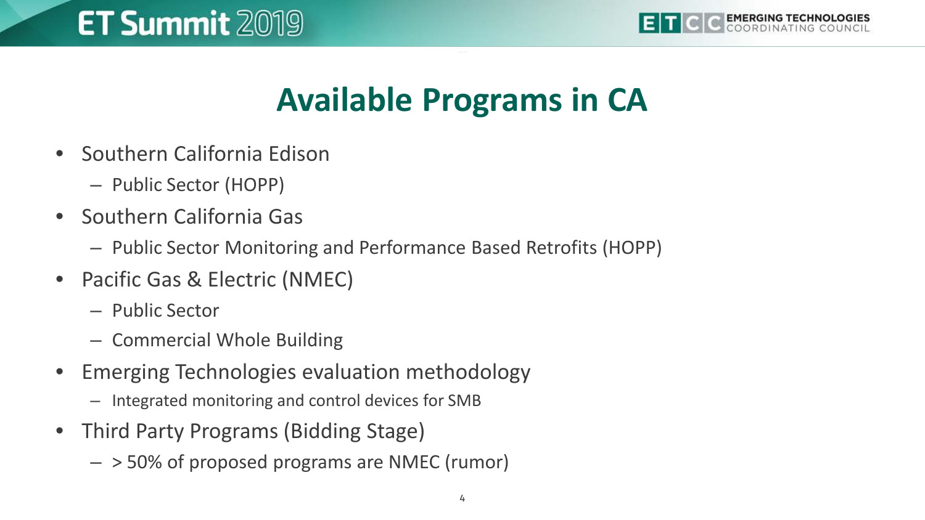

### **Available Programs in CA**

- Southern California Edison
	- Public Sector (HOPP)
- Southern California Gas
	- Public Sector Monitoring and Performance Based Retrofits (HOPP)
- Pacific Gas & Electric (NMEC)
	- Public Sector
	- Commercial Whole Building
- Emerging Technologies evaluation methodology
	- Integrated monitoring and control devices for SMB
- Third Party Programs (Bidding Stage)
	- > 50% of proposed programs are NMEC (rumor)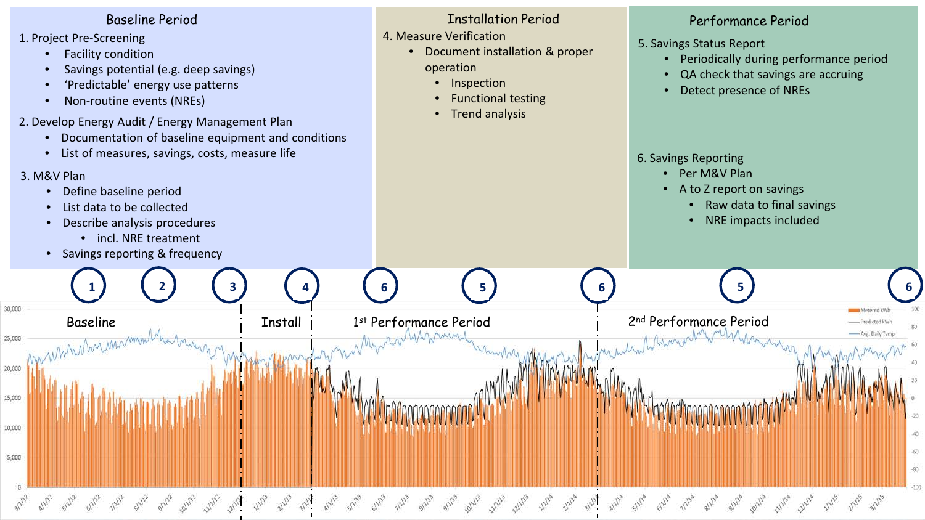- 1. Project Pre-Screening
	- Facility condition
	- Savings potential (e.g. deep savings)
	- 'Predictable' energy use patterns
	- Non-routine events (NREs)
- 2. Develop Energy Audit / Energy Management Plan
	- Documentation of baseline equipment and conditions
	- List of measures, savings, costs, measure life

#### 3. M&V Plan

30,000

25,000

20,000

15,000

10,000

5,000

- Define baseline period
- List data to be collected
- Describe analysis procedures
	- incl. NRE treatment
- Savings reporting & frequency

#### Baseline Period Installation Period Performance Period

4. Measure Verification

Baseline i Install 1 1st Performance Period 1 2nd Performance Period<br>With Manufacture Period 2nd Performance Period 2nd Performance Period

**6**

• Document installation & proper operation

**1 2 3 4 5 6 5 6**

- Inspection
- Functional testing
- Trend analysis

- 5. Savings Status Report
	- Periodically during performance period
	- QA check that savings are accruing
	- Detect presence of NREs

#### 6. Savings Reporting

- Per M&V Plan
- A to Z report on savings
	- Raw data to final savings

**NAstered VA** 

• NRE impacts included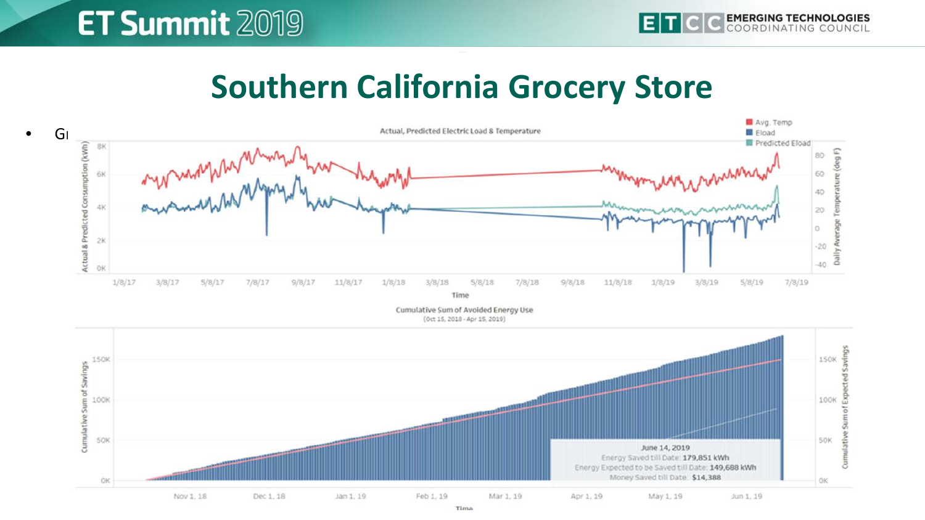#### **Southern California Grocery Store**



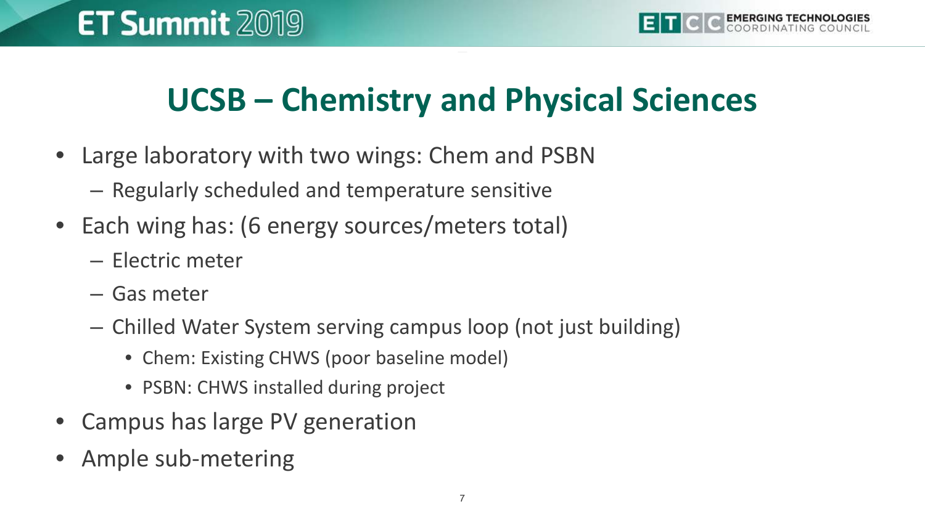#### **UCSB – Chemistry and Physical Sciences**

- Large laboratory with two wings: Chem and PSBN
	- Regularly scheduled and temperature sensitive
- Each wing has: (6 energy sources/meters total)
	- Electric meter
	- Gas meter
	- Chilled Water System serving campus loop (not just building)
		- Chem: Existing CHWS (poor baseline model)
		- PSBN: CHWS installed during project
- Campus has large PV generation
- Ample sub-metering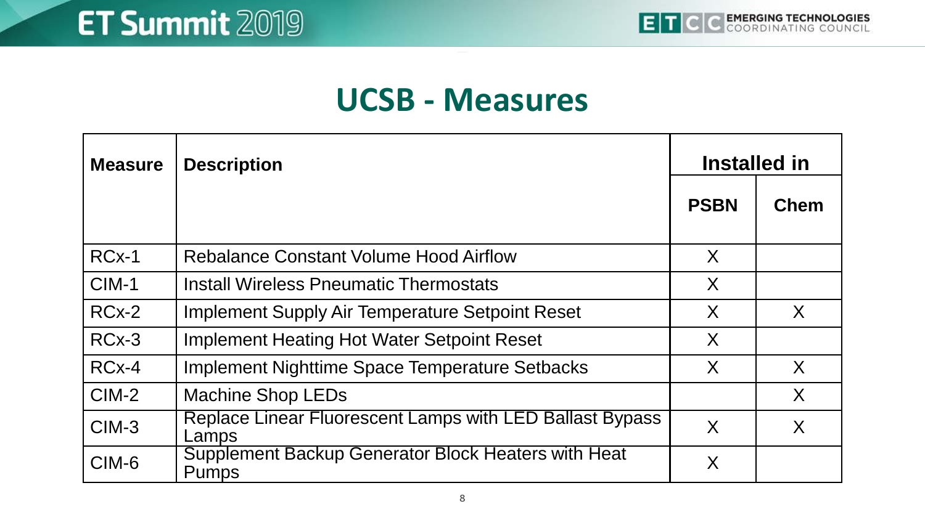#### **UCSB - Measures**

| <b>Measure</b> | <b>Description</b>                                                  | Installed in |             |
|----------------|---------------------------------------------------------------------|--------------|-------------|
|                |                                                                     | <b>PSBN</b>  | <b>Chem</b> |
| $RCx-1$        | <b>Rebalance Constant Volume Hood Airflow</b>                       | X            |             |
| $CIM-1$        | <b>Install Wireless Pneumatic Thermostats</b>                       | X            |             |
| $RCx-2$        | <b>Implement Supply Air Temperature Setpoint Reset</b>              | X            | X           |
| $RCx-3$        | <b>Implement Heating Hot Water Setpoint Reset</b>                   | X            |             |
| $RCx-4$        | Implement Nighttime Space Temperature Setbacks                      | X            | X           |
| $CIM-2$        | <b>Machine Shop LEDs</b>                                            |              | X           |
| $CIM-3$        | Replace Linear Fluorescent Lamps with LED Ballast Bypass<br>Lamps   | X            | X           |
| CIM-6          | Supplement Backup Generator Block Heaters with Heat<br><b>Pumps</b> | X            |             |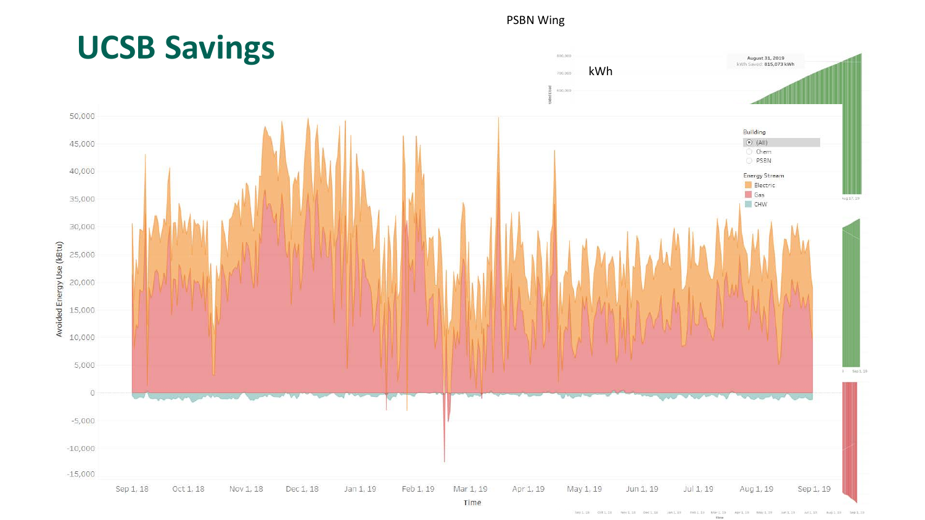#### PSBN Wing



Sep 3, 19 3811.18 0311.18 Nov1.18 Dec1.18 JMLD PBLD MFLD APELIE MACLIF HPLIP AFLIC Aug 2, 19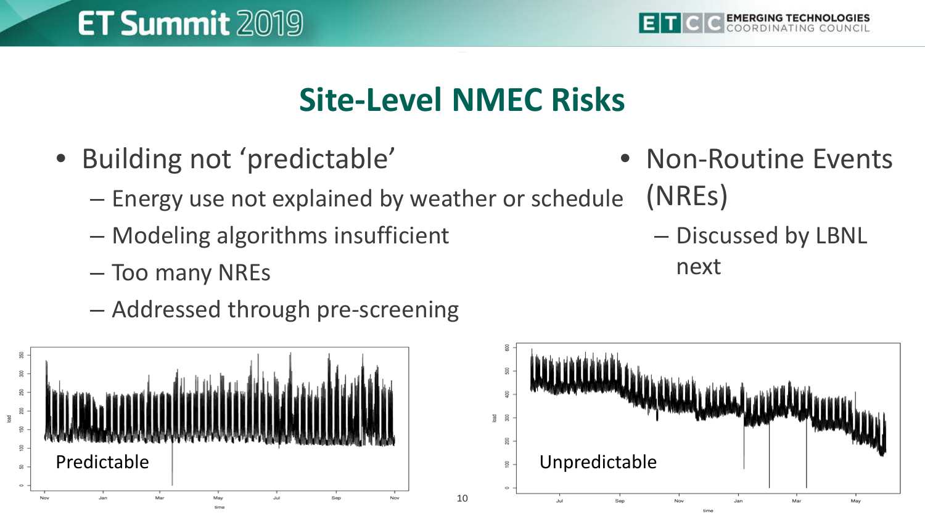

## **Site-Level NMEC Risks**

- Building not 'predictable'
	- Energy use not explained by weather or schedule
	- Modeling algorithms insufficient
	- Too many NREs
	- Addressed through pre-screening





- Non-Routine Events (NREs)
	- Discussed by LBNL next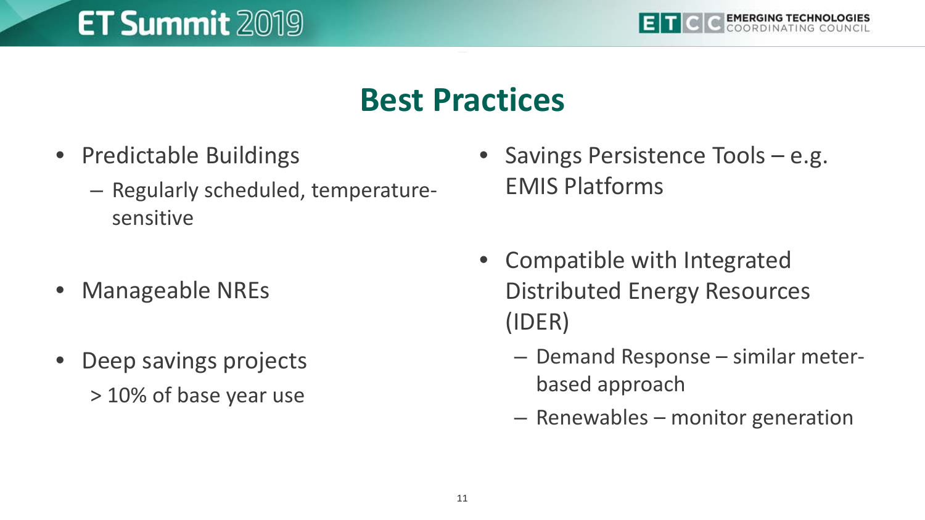

#### **Best Practices**

- Predictable Buildings
	- Regularly scheduled, temperaturesensitive
- Manageable NREs
- Deep savings projects > 10% of base year use
- Savings Persistence Tools e.g. EMIS Platforms
- Compatible with Integrated Distributed Energy Resources (IDER)
	- Demand Response similar meterbased approach
	- Renewables monitor generation